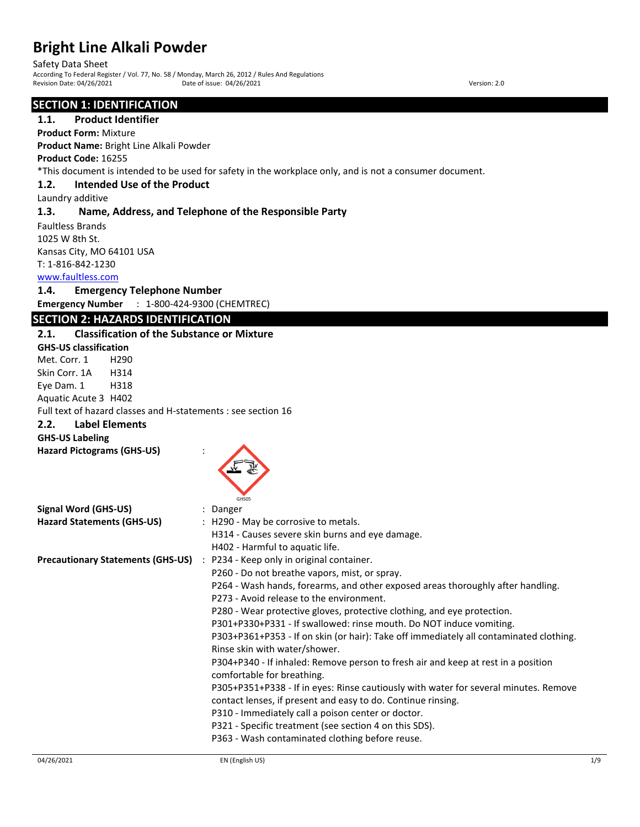Safety Data Sheet

According To Federal Register / Vol. 77, No. 58 / Monday, March 26, 2012 / Rules And Regulations Revision Date: 04/26/2021 Date of issue: 04/26/2021 Date of issue: 04/26/2021

# **SECTION 1: IDENTIFICATION**

### **1.1. Product Identifier**

**Product Form:** Mixture

**Product Name:** Bright Line Alkali Powder

**Product Code:** 16255

\*This document is intended to be used for safety in the workplace only, and is not a consumer document.

### **1.2. Intended Use of the Product**

Laundry additive

### **1.3. Name, Address, and Telephone of the Responsible Party**

Faultless Brands 1025 W 8th St. Kansas City, MO 64101 USA T: 1-816-842-1230

www.faultless.com

# **1.4. Emergency Telephone Number**

**Emergency Number** : 1-800-424-9300 (CHEMTREC)

# **SECTION 2: HAZARDS IDENTIFICATION**

# **2.1. Classification of the Substance or Mixture GHS-US classification** Met. Corr. 1 H290 Skin Corr. 1A H314 Eye Dam. 1 H318 Aquatic Acute 3 H402 Full text of hazard classes and H-statements : see section 16 **2.2. Label Elements GHS-US Labeling Hazard Pictograms (GHS-US)** : GHS05 **Signal Word (GHS-US)** : Danger Hazard Statements (GHS-US) : H290 - May be corrosive to metals. H314 - Causes severe skin burns and eye damage. H402 - Harmful to aquatic life. **Precautionary Statements (GHS-US)** : P234 - Keep only in original container. P260 - Do not breathe vapors, mist, or spray. P264 - Wash hands, forearms, and other exposed areas thoroughly after handling. P273 - Avoid release to the environment. P280 - Wear protective gloves, protective clothing, and eye protection. P301+P330+P331 - If swallowed: rinse mouth. Do NOT induce vomiting. P303+P361+P353 - If on skin (or hair): Take off immediately all contaminated clothing. Rinse skin with water/shower. P304+P340 - If inhaled: Remove person to fresh air and keep at rest in a position comfortable for breathing. P305+P351+P338 - If in eyes: Rinse cautiously with water for several minutes. Remove contact lenses, if present and easy to do. Continue rinsing. P310 - Immediately call a poison center or doctor. P321 - Specific treatment (see section 4 on this SDS). P363 - Wash contaminated clothing before reuse.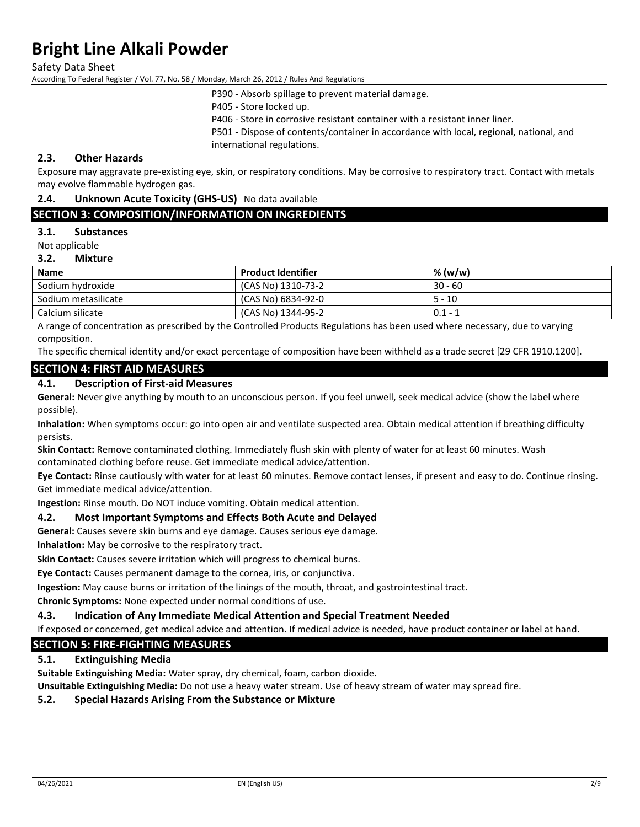Safety Data Sheet

According To Federal Register / Vol. 77, No. 58 / Monday, March 26, 2012 / Rules And Regulations

P390 - Absorb spillage to prevent material damage.

P405 - Store locked up.

P406 - Store in corrosive resistant container with a resistant inner liner.

P501 - Dispose of contents/container in accordance with local, regional, national, and international regulations.

# **2.3. Other Hazards**

Exposure may aggravate pre-existing eye, skin, or respiratory conditions. May be corrosive to respiratory tract. Contact with metals may evolve flammable hydrogen gas.

### **2.4. Unknown Acute Toxicity (GHS-US)** No data available

# **SECTION 3: COMPOSITION/INFORMATION ON INGREDIENTS**

### **3.1. Substances**

Not applicable

#### **3.2. Mixture**

| <b>Name</b>         | <b>Product Identifier</b> | % (w/w)   |
|---------------------|---------------------------|-----------|
| Sodium hydroxide    | (CAS No) 1310-73-2        | $30 - 60$ |
| Sodium metasilicate | (CAS No) 6834-92-0        | $5 - 10$  |
| Calcium silicate    | (CAS No) 1344-95-2        | $0.1 - 1$ |

A range of concentration as prescribed by the Controlled Products Regulations has been used where necessary, due to varying composition.

The specific chemical identity and/or exact percentage of composition have been withheld as a trade secret [29 CFR 1910.1200].

### **SECTION 4: FIRST AID MEASURES**

### **4.1. Description of First-aid Measures**

**General:** Never give anything by mouth to an unconscious person. If you feel unwell, seek medical advice (show the label where possible).

**Inhalation:** When symptoms occur: go into open air and ventilate suspected area. Obtain medical attention if breathing difficulty persists.

**Skin Contact:** Remove contaminated clothing. Immediately flush skin with plenty of water for at least 60 minutes. Wash contaminated clothing before reuse. Get immediate medical advice/attention.

**Eye Contact:** Rinse cautiously with water for at least 60 minutes. Remove contact lenses, if present and easy to do. Continue rinsing. Get immediate medical advice/attention.

**Ingestion:** Rinse mouth. Do NOT induce vomiting. Obtain medical attention.

### **4.2. Most Important Symptoms and Effects Both Acute and Delayed**

**General:** Causes severe skin burns and eye damage. Causes serious eye damage.

**Inhalation:** May be corrosive to the respiratory tract.

**Skin Contact:** Causes severe irritation which will progress to chemical burns.

**Eye Contact:** Causes permanent damage to the cornea, iris, or conjunctiva.

**Ingestion:** May cause burns or irritation of the linings of the mouth, throat, and gastrointestinal tract.

**Chronic Symptoms:** None expected under normal conditions of use.

#### **4.3. Indication of Any Immediate Medical Attention and Special Treatment Needed**

If exposed or concerned, get medical advice and attention. If medical advice is needed, have product container or label at hand.

# **SECTION 5: FIRE-FIGHTING MEASURES**

### **5.1. Extinguishing Media**

**Suitable Extinguishing Media:** Water spray, dry chemical, foam, carbon dioxide.

**Unsuitable Extinguishing Media:** Do not use a heavy water stream. Use of heavy stream of water may spread fire.

### **5.2. Special Hazards Arising From the Substance or Mixture**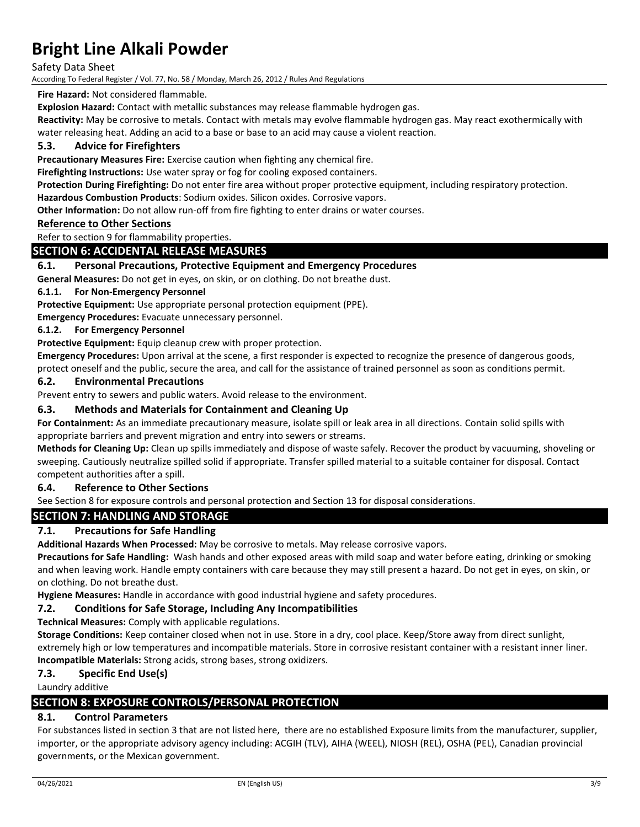Safety Data Sheet

According To Federal Register / Vol. 77, No. 58 / Monday, March 26, 2012 / Rules And Regulations

# **Fire Hazard:** Not considered flammable.

**Explosion Hazard:** Contact with metallic substances may release flammable hydrogen gas.

**Reactivity:** May be corrosive to metals. Contact with metals may evolve flammable hydrogen gas. May react exothermically with water releasing heat. Adding an acid to a base or base to an acid may cause a violent reaction.

# **5.3. Advice for Firefighters**

**Precautionary Measures Fire:** Exercise caution when fighting any chemical fire.

**Firefighting Instructions:** Use water spray or fog for cooling exposed containers.

**Protection During Firefighting:** Do not enter fire area without proper protective equipment, including respiratory protection.

**Hazardous Combustion Products**: Sodium oxides. Silicon oxides. Corrosive vapors.

**Other Information:** Do not allow run-off from fire fighting to enter drains or water courses.

# **Reference to Other Sections**

Refer to section 9 for flammability properties.

### **SECTION 6: ACCIDENTAL RELEASE MEASURES**

# **6.1. Personal Precautions, Protective Equipment and Emergency Procedures**

**General Measures:** Do not get in eyes, on skin, or on clothing. Do not breathe dust.

### **6.1.1. For Non-Emergency Personnel**

**Protective Equipment:** Use appropriate personal protection equipment (PPE).

**Emergency Procedures:** Evacuate unnecessary personnel.

### **6.1.2. For Emergency Personnel**

**Protective Equipment:** Equip cleanup crew with proper protection.

**Emergency Procedures:** Upon arrival at the scene, a first responder is expected to recognize the presence of dangerous goods, protect oneself and the public, secure the area, and call for the assistance of trained personnel as soon as conditions permit.

### **6.2. Environmental Precautions**

Prevent entry to sewers and public waters. Avoid release to the environment.

### **6.3. Methods and Materials for Containment and Cleaning Up**

**For Containment:** As an immediate precautionary measure, isolate spill or leak area in all directions. Contain solid spills with appropriate barriers and prevent migration and entry into sewers or streams.

**Methods for Cleaning Up:** Clean up spills immediately and dispose of waste safely. Recover the product by vacuuming, shoveling or sweeping. Cautiously neutralize spilled solid if appropriate. Transfer spilled material to a suitable container for disposal. Contact competent authorities after a spill.

### **6.4. Reference to Other Sections**

See Section 8 for exposure controls and personal protection and Section 13 for disposal considerations.

# **SECTION 7: HANDLING AND STORAGE**

# **7.1. Precautions for Safe Handling**

**Additional Hazards When Processed:** May be corrosive to metals. May release corrosive vapors.

**Precautions for Safe Handling:** Wash hands and other exposed areas with mild soap and water before eating, drinking or smoking and when leaving work. Handle empty containers with care because they may still present a hazard. Do not get in eyes, on skin, or on clothing. Do not breathe dust.

**Hygiene Measures:** Handle in accordance with good industrial hygiene and safety procedures.

### **7.2. Conditions for Safe Storage, Including Any Incompatibilities**

**Technical Measures:** Comply with applicable regulations.

**Storage Conditions:** Keep container closed when not in use. Store in a dry, cool place. Keep/Store away from direct sunlight, extremely high or low temperatures and incompatible materials. Store in corrosive resistant container with a resistant inner liner. **Incompatible Materials:** Strong acids, strong bases, strong oxidizers.

### **7.3. Specific End Use(s)**

Laundry additive

# **SECTION 8: EXPOSURE CONTROLS/PERSONAL PROTECTION**

# **8.1. Control Parameters**

For substances listed in section 3 that are not listed here, there are no established Exposure limits from the manufacturer, supplier, importer, or the appropriate advisory agency including: ACGIH (TLV), AIHA (WEEL), NIOSH (REL), OSHA (PEL), Canadian provincial governments, or the Mexican government.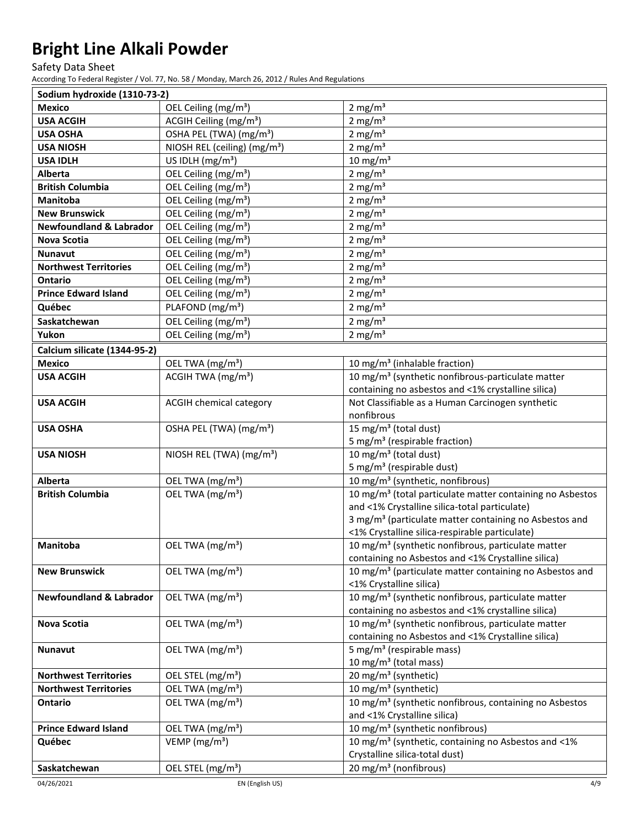Safety Data Sheet

According To Federal Register / Vol. 77, No. 58 / Monday, March 26, 2012 / Rules And Regulations

| Sodium hydroxide (1310-73-2)       |                                          |                                                                                                                     |
|------------------------------------|------------------------------------------|---------------------------------------------------------------------------------------------------------------------|
| <b>Mexico</b>                      | OEL Ceiling (mg/m <sup>3</sup> )         | $2 \text{ mg/m}^3$                                                                                                  |
| <b>USA ACGIH</b>                   | ACGIH Ceiling (mg/m <sup>3</sup> )       | 2 mg/ $m3$                                                                                                          |
| <b>USA OSHA</b>                    | OSHA PEL (TWA) (mg/m <sup>3</sup> )      | 2 mg/ $m3$                                                                                                          |
| <b>USA NIOSH</b>                   | NIOSH REL (ceiling) (mg/m <sup>3</sup> ) | 2 mg/ $m3$                                                                                                          |
| <b>USA IDLH</b>                    | US IDLH $(mg/m3)$                        | $10 \text{ mg/m}^3$                                                                                                 |
| Alberta                            | OEL Ceiling (mg/m <sup>3</sup> )         | 2 mg/ $m3$                                                                                                          |
| <b>British Columbia</b>            | OEL Ceiling (mg/m <sup>3</sup> )         | 2 mg/ $m3$                                                                                                          |
| <b>Manitoba</b>                    | OEL Ceiling (mg/m <sup>3</sup> )         | 2 mg/ $m3$                                                                                                          |
| <b>New Brunswick</b>               | OEL Ceiling (mg/m <sup>3</sup> )         | $2 \text{ mg/m}^3$                                                                                                  |
| <b>Newfoundland &amp; Labrador</b> | OEL Ceiling (mg/m <sup>3</sup> )         | $2 \text{ mg/m}^3$                                                                                                  |
| <b>Nova Scotia</b>                 | OEL Ceiling (mg/m <sup>3</sup> )         | $2 \text{ mg/m}^3$                                                                                                  |
| <b>Nunavut</b>                     | OEL Ceiling (mg/m <sup>3</sup> )         | 2 mg/ $m3$                                                                                                          |
| <b>Northwest Territories</b>       | OEL Ceiling (mg/m <sup>3</sup> )         | 2 mg/ $m3$                                                                                                          |
| Ontario                            | OEL Ceiling (mg/m <sup>3</sup> )         | 2 mg/ $m3$                                                                                                          |
| <b>Prince Edward Island</b>        | OEL Ceiling (mg/m <sup>3</sup> )         | 2 mg/ $m3$                                                                                                          |
| Québec                             | PLAFOND (mg/m <sup>3</sup> )             | $2 \text{ mg/m}^3$                                                                                                  |
| Saskatchewan                       | OEL Ceiling (mg/m <sup>3</sup> )         | 2 mg/ $m3$                                                                                                          |
| Yukon                              | OEL Ceiling (mg/m <sup>3</sup> )         | 2 mg/ $m3$                                                                                                          |
| Calcium silicate (1344-95-2)       |                                          |                                                                                                                     |
| <b>Mexico</b>                      | OEL TWA (mg/m <sup>3</sup> )             | 10 mg/m <sup>3</sup> (inhalable fraction)                                                                           |
| <b>USA ACGIH</b>                   | ACGIH TWA (mg/m <sup>3</sup> )           | 10 mg/m <sup>3</sup> (synthetic nonfibrous-particulate matter                                                       |
|                                    |                                          | containing no asbestos and <1% crystalline silica)                                                                  |
| <b>USA ACGIH</b>                   | <b>ACGIH chemical category</b>           | Not Classifiable as a Human Carcinogen synthetic                                                                    |
|                                    |                                          | nonfibrous                                                                                                          |
| <b>USA OSHA</b>                    | OSHA PEL (TWA) (mg/m <sup>3</sup> )      | 15 mg/m <sup>3</sup> (total dust)                                                                                   |
|                                    |                                          | 5 mg/m <sup>3</sup> (respirable fraction)                                                                           |
| <b>USA NIOSH</b>                   | NIOSH REL (TWA) (mg/m <sup>3</sup> )     | 10 mg/m <sup>3</sup> (total dust)                                                                                   |
|                                    |                                          | 5 mg/m <sup>3</sup> (respirable dust)                                                                               |
| Alberta                            | OEL TWA (mg/m <sup>3</sup> )             | 10 mg/m <sup>3</sup> (synthetic, nonfibrous)                                                                        |
| <b>British Columbia</b>            | OEL TWA (mg/m <sup>3</sup> )             | 10 mg/m <sup>3</sup> (total particulate matter containing no Asbestos                                               |
|                                    |                                          | and <1% Crystalline silica-total particulate)<br>3 mg/m <sup>3</sup> (particulate matter containing no Asbestos and |
|                                    |                                          | <1% Crystalline silica-respirable particulate)                                                                      |
| Manitoba                           | OEL TWA (mg/m <sup>3</sup> )             | 10 mg/m <sup>3</sup> (synthetic nonfibrous, particulate matter                                                      |
|                                    |                                          | containing no Asbestos and <1% Crystalline silica)                                                                  |
| <b>New Brunswick</b>               | OEL TWA (mg/m <sup>3</sup> )             | 10 mg/m <sup>3</sup> (particulate matter containing no Asbestos and                                                 |
|                                    |                                          | <1% Crystalline silica)                                                                                             |
| <b>Newfoundland &amp; Labrador</b> | OEL TWA (mg/m <sup>3</sup> )             | 10 mg/m <sup>3</sup> (synthetic nonfibrous, particulate matter                                                      |
|                                    |                                          | containing no asbestos and <1% crystalline silica)                                                                  |
| <b>Nova Scotia</b>                 | OEL TWA (mg/m <sup>3</sup> )             | 10 mg/m <sup>3</sup> (synthetic nonfibrous, particulate matter                                                      |
|                                    |                                          | containing no Asbestos and <1% Crystalline silica)                                                                  |
| <b>Nunavut</b>                     | OEL TWA (mg/m <sup>3</sup> )             | 5 mg/m <sup>3</sup> (respirable mass)                                                                               |
|                                    |                                          | 10 mg/m <sup>3</sup> (total mass)                                                                                   |
| <b>Northwest Territories</b>       | OEL STEL (mg/m <sup>3</sup> )            | 20 mg/m <sup>3</sup> (synthetic)                                                                                    |
| <b>Northwest Territories</b>       | OEL TWA (mg/m <sup>3</sup> )             | 10 mg/m <sup>3</sup> (synthetic)                                                                                    |
| Ontario                            | OEL TWA (mg/m <sup>3</sup> )             | 10 mg/m <sup>3</sup> (synthetic nonfibrous, containing no Asbestos                                                  |
|                                    |                                          | and <1% Crystalline silica)                                                                                         |
| <b>Prince Edward Island</b>        | OEL TWA (mg/m <sup>3</sup> )             | 10 mg/m <sup>3</sup> (synthetic nonfibrous)                                                                         |
| Québec                             | VEMP ( $mg/m3$ )                         | 10 mg/m <sup>3</sup> (synthetic, containing no Asbestos and <1%                                                     |
|                                    |                                          | Crystalline silica-total dust)                                                                                      |
| Saskatchewan                       | OEL STEL (mg/m <sup>3</sup> )            | 20 mg/m <sup>3</sup> (nonfibrous)                                                                                   |

04/26/2021 EN (English US) 4/9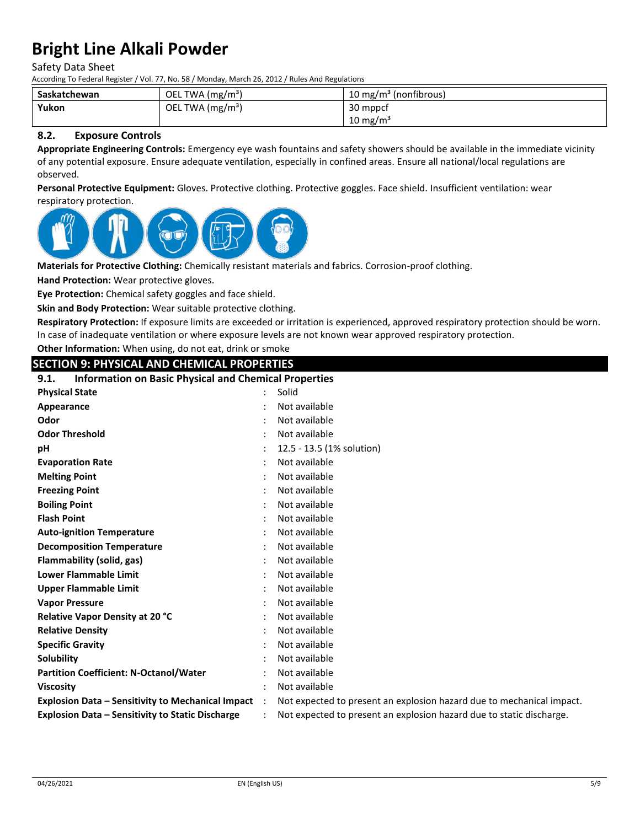Safety Data Sheet

According To Federal Register / Vol. 77, No. 58 / Monday, March 26, 2012 / Rules And Regulations

| Saskatchewan | OEL TWA $(mg/m3)$ | 10 mg/m <sup>3</sup> (nonfibrous) |
|--------------|-------------------|-----------------------------------|
| Yukon        | OEL TWA $(mg/m3)$ | 30 mppcf                          |
|              |                   | $10 \text{ mg/m}^3$               |

# **8.2. Exposure Controls**

**Appropriate Engineering Controls:** Emergency eye wash fountains and safety showers should be available in the immediate vicinity of any potential exposure. Ensure adequate ventilation, especially in confined areas. Ensure all national/local regulations are observed.

**Personal Protective Equipment:** Gloves. Protective clothing. Protective goggles. Face shield. Insufficient ventilation: wear respiratory protection.



**Materials for Protective Clothing:** Chemically resistant materials and fabrics. Corrosion-proof clothing.

**Hand Protection:** Wear protective gloves.

**Eye Protection:** Chemical safety goggles and face shield.

**Skin and Body Protection:** Wear suitable protective clothing.

**Respiratory Protection:** If exposure limits are exceeded or irritation is experienced, approved respiratory protection should be worn. In case of inadequate ventilation or where exposure levels are not known wear approved respiratory protection.

**Other Information:** When using, do not eat, drink or smoke

# **SECTION 9: PHYSICAL AND CHEMICAL PROPERTIES**

| <b>Information on Basic Physical and Chemical Properties</b><br>9.1. |                      |                                                                       |  |
|----------------------------------------------------------------------|----------------------|-----------------------------------------------------------------------|--|
| <b>Physical State</b>                                                |                      | Solid                                                                 |  |
| Appearance                                                           |                      | Not available                                                         |  |
| Odor                                                                 |                      | Not available                                                         |  |
| <b>Odor Threshold</b>                                                |                      | Not available                                                         |  |
| pH                                                                   |                      | 12.5 - 13.5 (1% solution)                                             |  |
| <b>Evaporation Rate</b>                                              |                      | Not available                                                         |  |
| <b>Melting Point</b>                                                 |                      | Not available                                                         |  |
| <b>Freezing Point</b>                                                |                      | Not available                                                         |  |
| <b>Boiling Point</b>                                                 |                      | Not available                                                         |  |
| <b>Flash Point</b>                                                   |                      | Not available                                                         |  |
| <b>Auto-ignition Temperature</b>                                     |                      | Not available                                                         |  |
| <b>Decomposition Temperature</b>                                     |                      | Not available                                                         |  |
| Flammability (solid, gas)                                            |                      | Not available                                                         |  |
| <b>Lower Flammable Limit</b>                                         |                      | Not available                                                         |  |
| <b>Upper Flammable Limit</b>                                         |                      | Not available                                                         |  |
| <b>Vapor Pressure</b>                                                |                      | Not available                                                         |  |
| Relative Vapor Density at 20 °C                                      |                      | Not available                                                         |  |
| <b>Relative Density</b>                                              |                      | Not available                                                         |  |
| <b>Specific Gravity</b>                                              |                      | Not available                                                         |  |
| Solubility                                                           |                      | Not available                                                         |  |
| <b>Partition Coefficient: N-Octanol/Water</b>                        |                      | Not available                                                         |  |
| <b>Viscosity</b>                                                     |                      | Not available                                                         |  |
| <b>Explosion Data - Sensitivity to Mechanical Impact</b>             | $\ddot{\phantom{0}}$ | Not expected to present an explosion hazard due to mechanical impact. |  |
| <b>Explosion Data - Sensitivity to Static Discharge</b>              |                      | Not expected to present an explosion hazard due to static discharge.  |  |
|                                                                      |                      |                                                                       |  |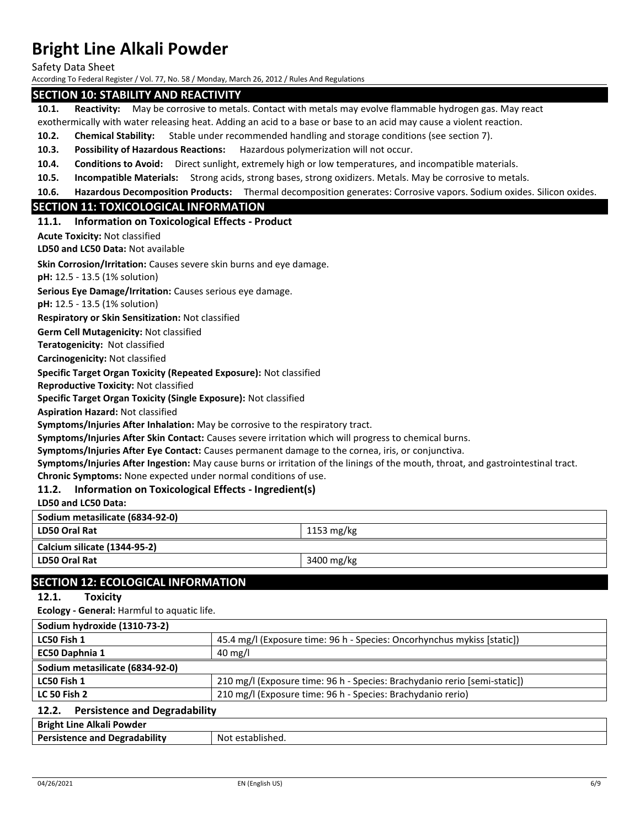Safety Data Sheet

According To Federal Register / Vol. 77, No. 58 / Monday, March 26, 2012 / Rules And Regulations

### **SECTION 10: STABILITY AND REACTIVITY**

**10.1. Reactivity:** May be corrosive to metals. Contact with metals may evolve flammable hydrogen gas. May react

exothermically with water releasing heat. Adding an acid to a base or base to an acid may cause a violent reaction.

**10.2. Chemical Stability:** Stable under recommended handling and storage conditions (see section 7).

**10.3. Possibility of Hazardous Reactions:** Hazardous polymerization will not occur.

**10.4. Conditions to Avoid:** Direct sunlight, extremely high or low temperatures, and incompatible materials.

**10.5. Incompatible Materials:** Strong acids, strong bases, strong oxidizers. Metals. May be corrosive to metals.

**10.6. Hazardous Decomposition Products:** Thermal decomposition generates: Corrosive vapors. Sodium oxides. Silicon oxides.

# **SECTION 11: TOXICOLOGICAL INFORMATION**

### **11.1. Information on Toxicological Effects - Product**

**Acute Toxicity:** Not classified

**LD50 and LC50 Data:** Not available

**Skin Corrosion/Irritation:** Causes severe skin burns and eye damage.

**pH:** 12.5 - 13.5 (1% solution)

**Serious Eye Damage/Irritation:** Causes serious eye damage.

**pH:** 12.5 - 13.5 (1% solution)

**Respiratory or Skin Sensitization:** Not classified

**Germ Cell Mutagenicity:** Not classified

**Teratogenicity:** Not classified

**Carcinogenicity:** Not classified

**Specific Target Organ Toxicity (Repeated Exposure):** Not classified

**Reproductive Toxicity:** Not classified

**Specific Target Organ Toxicity (Single Exposure):** Not classified

**Aspiration Hazard:** Not classified

**Symptoms/Injuries After Inhalation:** May be corrosive to the respiratory tract.

**Symptoms/Injuries After Skin Contact:** Causes severe irritation which will progress to chemical burns.

**Symptoms/Injuries After Eye Contact:** Causes permanent damage to the cornea, iris, or conjunctiva.

**Symptoms/Injuries After Ingestion:** May cause burns or irritation of the linings of the mouth, throat, and gastrointestinal tract. **Chronic Symptoms:** None expected under normal conditions of use.

# **11.2. Information on Toxicological Effects - Ingredient(s)**

**LD50 and LC50 Data:**

| Sodium metasilicate (6834-92-0) |            |
|---------------------------------|------------|
| LD50 Oral Rat                   | 1153 mg/kg |
| Calcium silicate (1344-95-2)    |            |
| LD50 Oral Rat                   | 3400 mg/kg |
|                                 |            |

# **SECTION 12: ECOLOGICAL INFORMATION**

**12.1. Toxicity**

**Ecology - General:** Harmful to aquatic life.

| Sodium hydroxide (1310-73-2)                  |                                                                           |
|-----------------------------------------------|---------------------------------------------------------------------------|
| LC50 Fish 1                                   | 45.4 mg/l (Exposure time: 96 h - Species: Oncorhynchus mykiss [static])   |
| EC50 Daphnia 1                                | $40 \text{ mg/l}$                                                         |
| Sodium metasilicate (6834-92-0)               |                                                                           |
| LC50 Fish 1                                   | 210 mg/l (Exposure time: 96 h - Species: Brachydanio rerio [semi-static]) |
| <b>LC 50 Fish 2</b>                           | 210 mg/l (Exposure time: 96 h - Species: Brachydanio rerio)               |
| <b>Persistence and Degradability</b><br>12.2. |                                                                           |

| <b>Bright Line Alkali Powder</b>     |                  |
|--------------------------------------|------------------|
| <b>Persistence and Degradability</b> | Not established. |
|                                      |                  |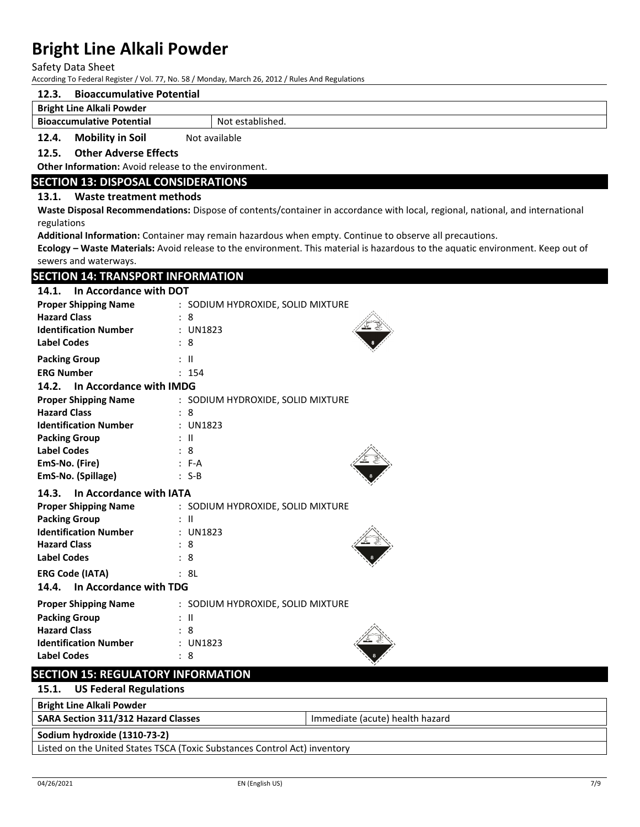Safety Data Sheet

According To Federal Register / Vol. 77, No. 58 / Monday, March 26, 2012 / Rules And Regulations

# **12.3. Bioaccumulative Potential**

#### **Bright Line Alkali Powder**

**Bioaccumulative Potential** Not established.

**12.4. Mobility in Soil** Not available

**12.5. Other Adverse Effects**

**Other Information:** Avoid release to the environment.

### **SECTION 13: DISPOSAL CONSIDERATIONS**

### **13.1. Waste treatment methods**

**Waste Disposal Recommendations:** Dispose of contents/container in accordance with local, regional, national, and international regulations

**Additional Information:** Container may remain hazardous when empty. Continue to observe all precautions.

**Ecology – Waste Materials:** Avoid release to the environment. This material is hazardous to the aquatic environment. Keep out of sewers and waterways.

# **SECTION 14: TRANSPORT INFORMATION**

| 14.1.<br>In Accordance with DOT  |                                   |  |  |  |  |
|----------------------------------|-----------------------------------|--|--|--|--|
| <b>Proper Shipping Name</b>      | : SODIUM HYDROXIDE, SOLID MIXTURE |  |  |  |  |
| <b>Hazard Class</b>              | : 8                               |  |  |  |  |
| <b>Identification Number</b>     | : UN1823                          |  |  |  |  |
| <b>Label Codes</b>               | : 8                               |  |  |  |  |
| <b>Packing Group</b>             | : II                              |  |  |  |  |
| <b>ERG Number</b>                | : 154                             |  |  |  |  |
| In Accordance with IMDG<br>14.2. |                                   |  |  |  |  |
| <b>Proper Shipping Name</b>      | : SODIUM HYDROXIDE, SOLID MIXTURE |  |  |  |  |
| <b>Hazard Class</b>              | : 8                               |  |  |  |  |
| <b>Identification Number</b>     | $:$ UN1823                        |  |  |  |  |
| <b>Packing Group</b>             | : II                              |  |  |  |  |
| <b>Label Codes</b>               | : 8                               |  |  |  |  |
| EmS-No. (Fire)                   | $: F-A$                           |  |  |  |  |
| EmS-No. (Spillage)               | $: S-B$                           |  |  |  |  |
| In Accordance with IATA<br>14.3. |                                   |  |  |  |  |
| <b>Proper Shipping Name</b>      | : SODIUM HYDROXIDE, SOLID MIXTURE |  |  |  |  |
| <b>Packing Group</b>             | : II                              |  |  |  |  |
| <b>Identification Number</b>     | $:$ UN1823                        |  |  |  |  |
| <b>Hazard Class</b>              | : 8                               |  |  |  |  |
| <b>Label Codes</b>               | : 8                               |  |  |  |  |
| <b>ERG Code (IATA)</b>           | : 8L                              |  |  |  |  |
| In Accordance with TDG<br>14.4.  |                                   |  |  |  |  |
| <b>Proper Shipping Name</b>      | : SODIUM HYDROXIDE, SOLID MIXTURE |  |  |  |  |
| <b>Packing Group</b>             | : II                              |  |  |  |  |
| <b>Hazard Class</b>              | 8                                 |  |  |  |  |
| <b>Identification Number</b>     | : UN1823                          |  |  |  |  |

# **SECTION 15: REGULATORY INFORMATION**

**15.1. US Federal Regulations**

**Label Codes** : 8

# **Bright Line Alkali Powder**

**SARA Section 311/312 Hazard Classes Integral 20 and SARA Section 311/312 Hazard Classes Immediate (acute) health hazard** 

#### **Sodium hydroxide (1310-73-2)**

Listed on the United States TSCA (Toxic Substances Control Act) inventory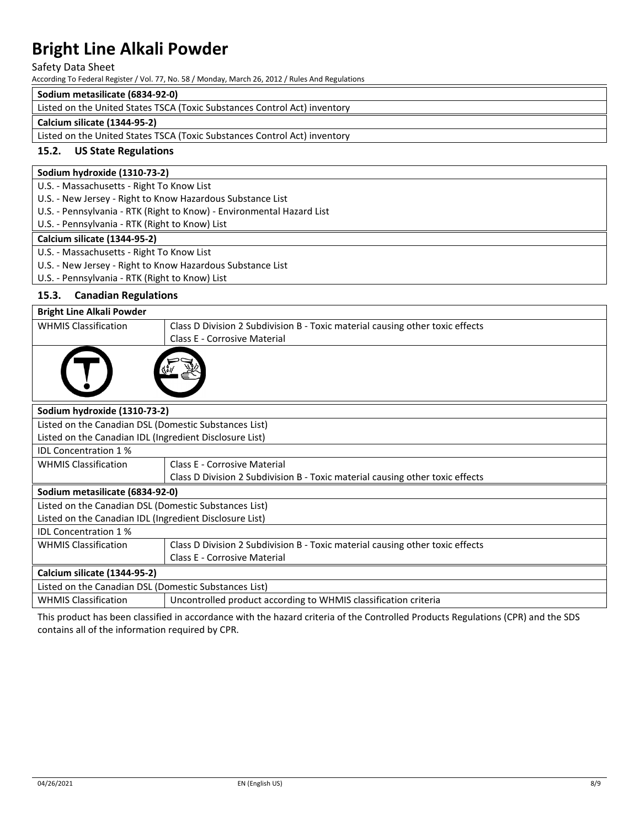### Safety Data Sheet

According To Federal Register / Vol. 77, No. 58 / Monday, March 26, 2012 / Rules And Regulations

# **Sodium metasilicate (6834-92-0)**

Listed on the United States TSCA (Toxic Substances Control Act) inventory

#### **Calcium silicate (1344-95-2)**

Listed on the United States TSCA (Toxic Substances Control Act) inventory

### **15.2. US State Regulations**

### **Sodium hydroxide (1310-73-2)**

U.S. - Massachusetts - Right To Know List

U.S. - New Jersey - Right to Know Hazardous Substance List

U.S. - Pennsylvania - RTK (Right to Know) - Environmental Hazard List

U.S. - Pennsylvania - RTK (Right to Know) List

#### **Calcium silicate (1344-95-2)**

U.S. - Massachusetts - Right To Know List

U.S. - New Jersey - Right to Know Hazardous Substance List

U.S. - Pennsylvania - RTK (Right to Know) List

# **15.3. Canadian Regulations**

| ⊥J.J.<br>Canadian Regulations                           |                                                                               |  |  |  |  |
|---------------------------------------------------------|-------------------------------------------------------------------------------|--|--|--|--|
| <b>Bright Line Alkali Powder</b>                        |                                                                               |  |  |  |  |
| <b>WHMIS Classification</b>                             | Class D Division 2 Subdivision B - Toxic material causing other toxic effects |  |  |  |  |
|                                                         | Class E - Corrosive Material                                                  |  |  |  |  |
|                                                         |                                                                               |  |  |  |  |
| Sodium hydroxide (1310-73-2)                            |                                                                               |  |  |  |  |
| Listed on the Canadian DSL (Domestic Substances List)   |                                                                               |  |  |  |  |
| Listed on the Canadian IDL (Ingredient Disclosure List) |                                                                               |  |  |  |  |
| <b>IDL Concentration 1%</b>                             |                                                                               |  |  |  |  |
| <b>WHMIS Classification</b>                             | Class E - Corrosive Material                                                  |  |  |  |  |
|                                                         | Class D Division 2 Subdivision B - Toxic material causing other toxic effects |  |  |  |  |
|                                                         | Sodium metasilicate (6834-92-0)                                               |  |  |  |  |
| Listed on the Canadian DSL (Domestic Substances List)   |                                                                               |  |  |  |  |
| Listed on the Canadian IDL (Ingredient Disclosure List) |                                                                               |  |  |  |  |
| <b>IDL Concentration 1%</b>                             |                                                                               |  |  |  |  |
| <b>WHMIS Classification</b>                             | Class D Division 2 Subdivision B - Toxic material causing other toxic effects |  |  |  |  |
|                                                         | Class E - Corrosive Material                                                  |  |  |  |  |
| Calcium silicate (1344-95-2)                            |                                                                               |  |  |  |  |
| Listed on the Canadian DSL (Domestic Substances List)   |                                                                               |  |  |  |  |
| <b>WHMIS Classification</b>                             | Uncontrolled product according to WHMIS classification criteria               |  |  |  |  |

This product has been classified in accordance with the hazard criteria of the Controlled Products Regulations (CPR) and the SDS contains all of the information required by CPR.